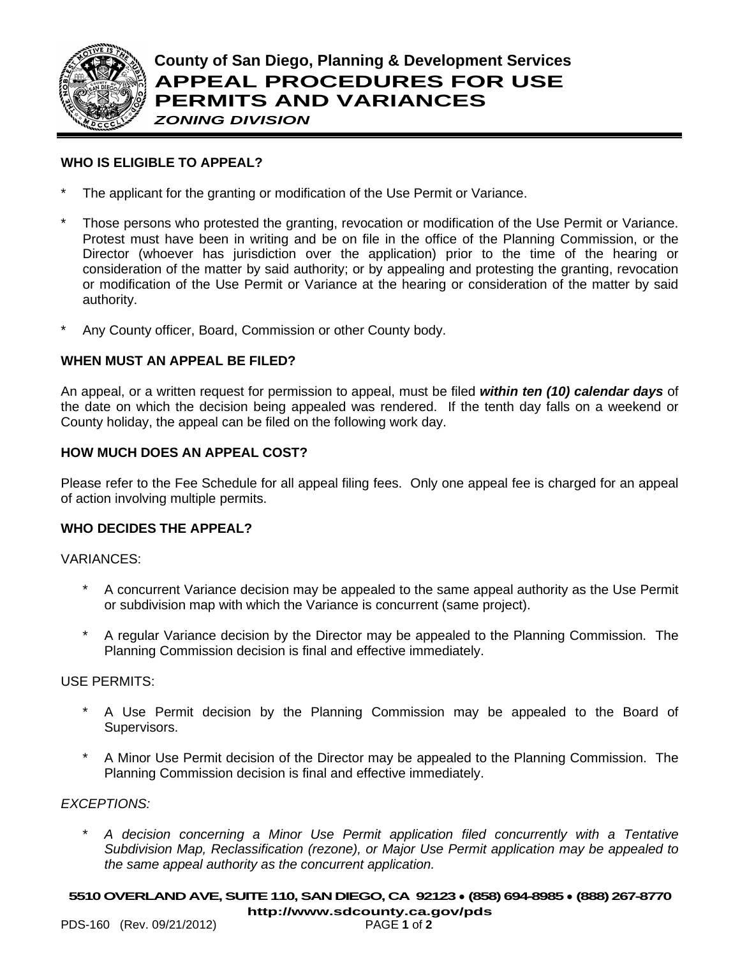

# **WHO IS ELIGIBLE TO APPEAL?**

- The applicant for the granting or modification of the Use Permit or Variance.
- Those persons who protested the granting, revocation or modification of the Use Permit or Variance. Protest must have been in writing and be on file in the office of the Planning Commission, or the Director (whoever has jurisdiction over the application) prior to the time of the hearing or consideration of the matter by said authority; or by appealing and protesting the granting, revocation or modification of the Use Permit or Variance at the hearing or consideration of the matter by said authority.
- Any County officer, Board, Commission or other County body.

# **WHEN MUST AN APPEAL BE FILED?**

An appeal, or a written request for permission to appeal, must be filed *within ten (10) calendar days* of the date on which the decision being appealed was rendered. If the tenth day falls on a weekend or County holiday, the appeal can be filed on the following work day.

## **HOW MUCH DOES AN APPEAL COST?**

Please refer to the Fee Schedule for all appeal filing fees. Only one appeal fee is charged for an appeal of action involving multiple permits.

### **WHO DECIDES THE APPEAL?**

VARIANCES:

- A concurrent Variance decision may be appealed to the same appeal authority as the Use Permit or subdivision map with which the Variance is concurrent (same project).
- \* A regular Variance decision by the Director may be appealed to the Planning Commission. The Planning Commission decision is final and effective immediately.

#### USE PERMITS:

- A Use Permit decision by the Planning Commission may be appealed to the Board of Supervisors.
- A Minor Use Permit decision of the Director may be appealed to the Planning Commission. The Planning Commission decision is final and effective immediately.

## *EXCEPTIONS:*

\* *A decision concerning a Minor Use Permit application filed concurrently with a Tentative Subdivision Map, Reclassification (rezone), or Major Use Permit application may be appealed to the same appeal authority as the concurrent application.*

# **5510OVERLAND AVE, SUITE 110, SAN DIEGO, CA 92123** ● **(858) 694-8985** ● **(888) 267-8770**